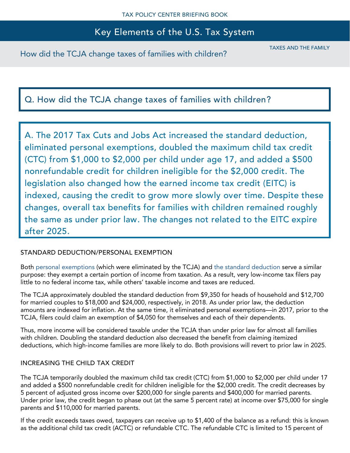How did the TCJA change taxes of families with children?

TAXES AND THE FAMILY

# Q. How did the TCJA change taxes of families with children?

A. The 2017 Tax Cuts and Jobs Act increased the standard deduction, eliminated personal exemptions, doubled the maximum child tax credit (CTC) from \$1,000 to \$2,000 per child under age 17, and added a \$500 nonrefundable credit for children ineligible for the \$2,000 credit. The legislation also changed how the earned income tax credit (EITC) is indexed, causing the credit to grow more slowly over time. Despite these changes, overall tax benefits for families with children remained roughly the same as under prior law. The changes not related to the EITC expire after 2025.

### STANDARD DEDUCTION/PERSONAL EXEMPTION

Both [personal exemptions](https://www.taxpolicycenter.org/briefing-book/what-are-personal-exemptions) (which were eliminated by the TCJA) and [the standard deduction](https://www.taxpolicycenter.org/briefing-book/what-standard-deduction) serve a similar purpose: they exempt a certain portion of income from taxation. As a result, very low-income tax filers pay little to no federal income tax, while others' taxable income and taxes are reduced.

The TCJA approximately doubled the standard deduction from \$9,350 for heads of household and \$12,700 for married couples to \$18,000 and \$24,000, respectively, in 2018. As under prior law, the deduction amounts are indexed for inflation. At the same time, it eliminated personal exemptions—in 2017, prior to the TCJA, filers could claim an exemption of \$4,050 for themselves and each of their dependents.

Thus, more income will be considered taxable under the TCJA than under prior law for almost all families with children. Doubling the standard deduction also decreased the benefit from claiming itemized deductions, which high-income families are more likely to do. Both provisions will revert to prior law in 2025.

### INCREASING THE CHILD TAX CREDIT

The TCJA temporarily doubled the maximum child tax credit (CTC) from \$1,000 to \$2,000 per child under 17 and added a \$500 nonrefundable credit for children ineligible for the \$2,000 credit. The credit decreases by 5 percent of adjusted gross income over \$200,000 for single parents and \$400,000 for married parents. Under prior law, the credit began to phase out (at the same 5 percent rate) at income over \$75,000 for single parents and \$110,000 for married parents.

If the credit exceeds taxes owed, taxpayers can receive up to \$1,400 of the balance as a refund: this is known as the additional child tax credit (ACTC) or refundable CTC. The refundable CTC is limited to 15 percent of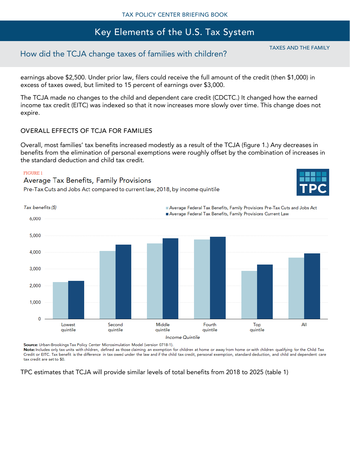## How did the TCJA change taxes of families with children?

earnings above \$2,500. Under prior law, filers could receive the full amount of the credit (then \$1,000) in excess of taxes owed, but limited to 15 percent of earnings over \$3,000.

The TCJA made no changes to the child and dependent care credit (CDCTC.) It changed how the earned income tax credit (EITC) was indexed so that it now increases more slowly over time. This change does not expire.

#### OVERALL EFFECTS OF TCJA FOR FAMILIES

Overall, most families' tax benefits increased modestly as a result of the TCJA (figure 1.) Any decreases in benefits from the elimination of personal exemptions were roughly offset by the combination of increases in the standard deduction and child tax credit.

#### **FIGURE 1**

### Average Tax Benefits, Family Provisions

Pre-Tax Cuts and Jobs Act compared to current law, 2018, by income quintile



Source: Urban-Brookings Tax Policy Center Microsimulation Model (version 0718-1).

Note: Includes only tax units with children, defined as those claiming an exemption for children at home or away from home or with children qualifying for the Child Tax Credit or EITC. Tax benefit is the difference in tax owed under the law and if the child tax credit, personal exemption, standard deduction, and child and dependent care tax credit are set to \$0.

TPC estimates that TCJA will provide similar levels of total benefits from 2018 to 2025 (table 1)

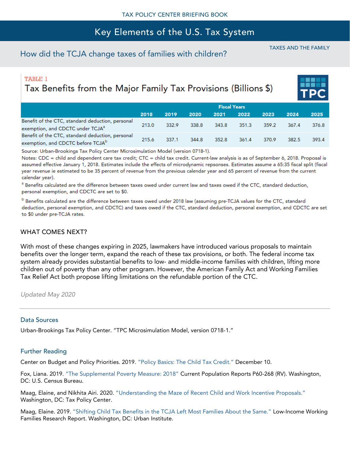## How did the TCJA change taxes of families with children?

TAXES AND THE FAMILY

### **TABLE 1**

Tax Benefits from the Major Family Tax Provisions (Billions \$)

|                                                                                                   | <b>Fiscal Years</b> |       |       |       |       |       |       |       |  |
|---------------------------------------------------------------------------------------------------|---------------------|-------|-------|-------|-------|-------|-------|-------|--|
|                                                                                                   | 2018                | 2019  | 2020  | 2021  | 2022  | 2023  | 2024  | 2025  |  |
| Benefit of the CTC, standard deduction, personal<br>exemption, and CDCTC under TCJA <sup>a</sup>  | 213.0               | 332.9 | 338.8 | 343.8 | 351.3 | 359.2 | 367.4 | 376.8 |  |
| Benefit of the CTC, standard deduction, personal<br>exemption, and CDCTC before TCJA <sup>b</sup> | 215.6               | 337.1 | 344.8 | 352.8 | 361.4 | 370.9 | 382.5 | 393.4 |  |

Source: Urban-Brookings Tax Policy Center Microsimulation Model (version 0718-1).

Notes: CDC = child and dependent care tax credit; CTC = child tax credit. Current-law analysis is as of September 6, 2018. Proposal is assumed effective January 1, 2018. Estimates include the effects of microdynamic repsonses. Estimates assume a 65:35 fiscal split (fiscal year revenue ie estimated to be 35 percent of revenue from the previous calendar year and 65 percent of revenue from the current calendar year).

<sup>a</sup> Benefits calculated are the difference between taxes owed under current law and taxes owed if the CTC, standard deduction, personal exemption, and CDCTC are set to \$0.

<sup>b</sup> Benefits calculated are the difference between taxes owed under 2018 law (assuming pre-TCJA values for the CTC, standard deduction, personal exemption, and CDCTC) and taxes owed if the CTC, standard deduction, personal exemption, and CDCTC are set to \$0 under pre-TCJA rates.

#### WHAT COMES NEXT?

With most of these changes expiring in 2025, lawmakers have introduced various proposals to maintain benefits over the longer term, expand the reach of these tax provisions, or both. The federal income tax system already provides substantial benefits to low- and middle-income families with children, lifting more children out of poverty than any other program. However, the American Family Act and Working Families Tax Relief Act both propose lifting limitations on the refundable portion of the CTC.

*Updated May 2020*

#### Data Sources

Urban-Brookings Tax Policy Center. "TPC Microsimulation Model, version 0718-1."

#### Further Reading

Center on Budget and Policy Priorities. 2019. ["Policy Basics: The Child Tax Credit."](https://www.cbpp.org/research/federal-tax/policy-basics-the-child-tax-credit) December 10.

Fox, Liana. 2019. ["The Supplemental Poverty Measure: 2018"](https://www.census.gov/content/dam/Census/library/publications/2019/demo/p60-268.pdf) Current Population Reports P60-268 (RV). Washington, DC: U.S. Census Bureau.

Maag, Elaine, and Nikhita Airi. 2020. ["Understanding the Maze of Recent Child and Work Incentive Proposals."](https://www.taxpolicycenter.org/publications/understanding-maze-recent-child-and-work-incentive-proposals) Washington, DC: Tax Policy Center.

Maag, Elaine. 2019. ["Shifting Child Tax Benefits in the TCJA Left Most Families About the Same."](https://www.taxpolicycenter.org/publications/shifting-child-tax-benefits-tcja-left-most-families-about-same) Low-Income Working Families Research Report. Washington, DC: Urban Institute.